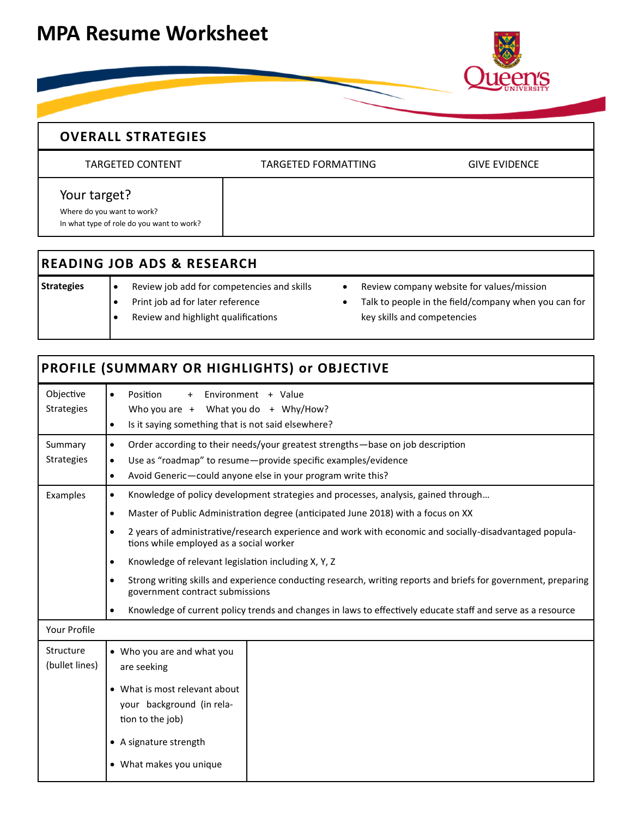## **MPA Resume Worksheet**



## **OVERALL STRATEGIES**

TARGETED CONTENT TARGETED FORMATTING GIVE EVIDENCE

Your target?

Where do you want to work? In what type of role do you want to work?

## **READING JOB ADS & RESEARCH**

- **Strategies e** Review job add for competencies and skills Print job ad for later reference
	- Review and highlight qualifications
- Review company website for values/mission
- Talk to people in the field/company when you can for key skills and competencies

## **PROFILE (SUMMARY OR HIGHLIGHTS) or OBJECTIVE** Objective Strategies Position + Environment + Value Who you are  $+$  What you do  $+$  Why/How? Is it saying something that is not said elsewhere? Summary Strategies Order according to their needs/your greatest strengths—base on job description Use as "roadmap" to resume—provide specific examples/evidence Avoid Generic—could anyone else in your program write this? Examples  $\bullet$  Knowledge of policy development strategies and processes, analysis, gained through... Master of Public Administration degree (anticipated June 2018) with a focus on XX 2 years of administrative/research experience and work with economic and socially-disadvantaged populations while employed as a social worker Knowledge of relevant legislation including X, Y, Z Strong writing skills and experience conducting research, writing reports and briefs for government, preparing government contract submissions Knowledge of current policy trends and changes in laws to effectively educate staff and serve as a resource Your Profile Structure (bullet lines) Who you are and what you are seeking What is most relevant about your background (in relation to the job) A signature strength What makes you unique